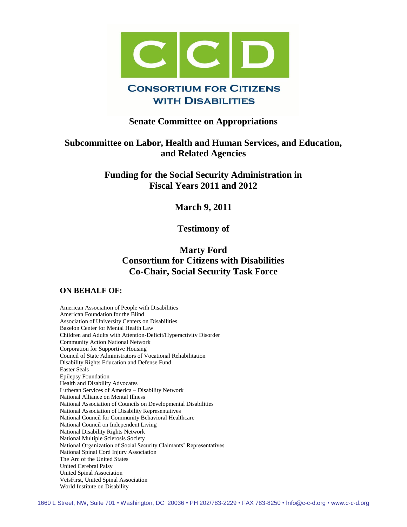

## **Senate Committee on Appropriations**

# **Subcommittee on Labor, Health and Human Services, and Education, and Related Agencies**

**Funding for the Social Security Administration in Fiscal Years 2011 and 2012**

**March 9, 2011**

**Testimony of**

# **Marty Ford Consortium for Citizens with Disabilities Co-Chair, Social Security Task Force**

## **ON BEHALF OF:**

American Association of People with Disabilities American Foundation for the Blind Association of University Centers on Disabilities Bazelon Center for Mental Health Law Children and Adults with Attention-Deficit/Hyperactivity Disorder Community Action National Network Corporation for Supportive Housing Council of State Administrators of Vocational Rehabilitation Disability Rights Education and Defense Fund Easter Seals Epilepsy Foundation Health and Disability Advocates Lutheran Services of America – Disability Network National Alliance on Mental Illness National Association of Councils on Developmental Disabilities National Association of Disability Representatives National Council for Community Behavioral Healthcare National Council on Independent Living National Disability Rights Network National Multiple Sclerosis Society National Organization of Social Security Claimants' Representatives National Spinal Cord Injury Association The Arc of the United States United Cerebral Palsy United Spinal Association VetsFirst, United Spinal Association World Institute on Disability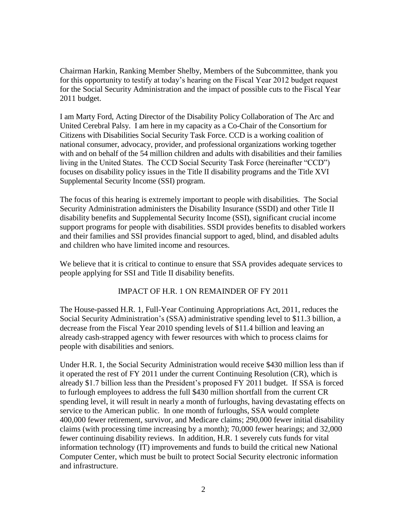Chairman Harkin, Ranking Member Shelby, Members of the Subcommittee, thank you for this opportunity to testify at today's hearing on the Fiscal Year 2012 budget request for the Social Security Administration and the impact of possible cuts to the Fiscal Year 2011 budget.

I am Marty Ford, Acting Director of the Disability Policy Collaboration of The Arc and United Cerebral Palsy. I am here in my capacity as a Co-Chair of the Consortium for Citizens with Disabilities Social Security Task Force. CCD is a working coalition of national consumer, advocacy, provider, and professional organizations working together with and on behalf of the 54 million children and adults with disabilities and their families living in the United States. The CCD Social Security Task Force (hereinafter "CCD") focuses on disability policy issues in the Title II disability programs and the Title XVI Supplemental Security Income (SSI) program.

The focus of this hearing is extremely important to people with disabilities. The Social Security Administration administers the Disability Insurance (SSDI) and other Title II disability benefits and Supplemental Security Income (SSI), significant crucial income support programs for people with disabilities. SSDI provides benefits to disabled workers and their families and SSI provides financial support to aged, blind, and disabled adults and children who have limited income and resources.

We believe that it is critical to continue to ensure that SSA provides adequate services to people applying for SSI and Title II disability benefits.

## IMPACT OF H.R. 1 ON REMAINDER OF FY 2011

The House-passed H.R. 1, Full-Year Continuing Appropriations Act, 2011, reduces the Social Security Administration's (SSA) administrative spending level to \$11.3 billion, a decrease from the Fiscal Year 2010 spending levels of \$11.4 billion and leaving an already cash-strapped agency with fewer resources with which to process claims for people with disabilities and seniors.

Under H.R. 1, the Social Security Administration would receive \$430 million less than if it operated the rest of FY 2011 under the current Continuing Resolution (CR), which is already \$1.7 billion less than the President's proposed FY 2011 budget. If SSA is forced to furlough employees to address the full \$430 million shortfall from the current CR spending level, it will result in nearly a month of furloughs, having devastating effects on service to the American public. In one month of furloughs, SSA would complete 400,000 fewer retirement, survivor, and Medicare claims; 290,000 fewer initial disability claims (with processing time increasing by a month); 70,000 fewer hearings; and 32,000 fewer continuing disability reviews. In addition, H.R. 1 severely cuts funds for vital information technology (IT) improvements and funds to build the critical new National Computer Center, which must be built to protect Social Security electronic information and infrastructure.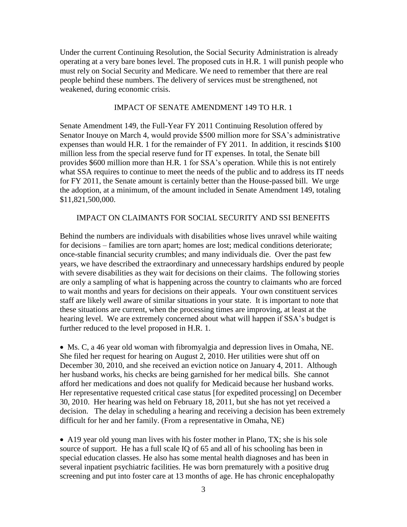Under the current Continuing Resolution, the Social Security Administration is already operating at a very bare bones level. The proposed cuts in H.R. 1 will punish people who must rely on Social Security and Medicare. We need to remember that there are real people behind these numbers. The delivery of services must be strengthened, not weakened, during economic crisis.

#### IMPACT OF SENATE AMENDMENT 149 TO H.R. 1

Senate Amendment 149, the Full-Year FY 2011 Continuing Resolution offered by Senator Inouye on March 4, would provide \$500 million more for SSA's administrative expenses than would H.R. 1 for the remainder of FY 2011. In addition, it rescinds \$100 million less from the special reserve fund for IT expenses. In total, the Senate bill provides \$600 million more than H.R. 1 for SSA's operation. While this is not entirely what SSA requires to continue to meet the needs of the public and to address its IT needs for FY 2011, the Senate amount is certainly better than the House-passed bill. We urge the adoption, at a minimum, of the amount included in Senate Amendment 149, totaling \$11,821,500,000.

#### IMPACT ON CLAIMANTS FOR SOCIAL SECURITY AND SSI BENEFITS

Behind the numbers are individuals with disabilities whose lives unravel while waiting for decisions – families are torn apart; homes are lost; medical conditions deteriorate; once-stable financial security crumbles; and many individuals die. Over the past few years, we have described the extraordinary and unnecessary hardships endured by people with severe disabilities as they wait for decisions on their claims. The following stories are only a sampling of what is happening across the country to claimants who are forced to wait months and years for decisions on their appeals. Your own constituent services staff are likely well aware of similar situations in your state. It is important to note that these situations are current, when the processing times are improving, at least at the hearing level. We are extremely concerned about what will happen if SSA's budget is further reduced to the level proposed in H.R. 1.

 Ms. C, a 46 year old woman with fibromyalgia and depression lives in Omaha, NE. She filed her request for hearing on August 2, 2010. Her utilities were shut off on December 30, 2010, and she received an eviction notice on January 4, 2011. Although her husband works, his checks are being garnished for her medical bills. She cannot afford her medications and does not qualify for Medicaid because her husband works. Her representative requested critical case status [for expedited processing] on December 30, 2010. Her hearing was held on February 18, 2011, but she has not yet received a decision. The delay in scheduling a hearing and receiving a decision has been extremely difficult for her and her family. (From a representative in Omaha, NE)

 A19 year old young man lives with his foster mother in Plano, TX; she is his sole source of support. He has a full scale IQ of 65 and all of his schooling has been in special education classes. He also has some mental health diagnoses and has been in several inpatient psychiatric facilities. He was born prematurely with a positive drug screening and put into foster care at 13 months of age. He has chronic encephalopathy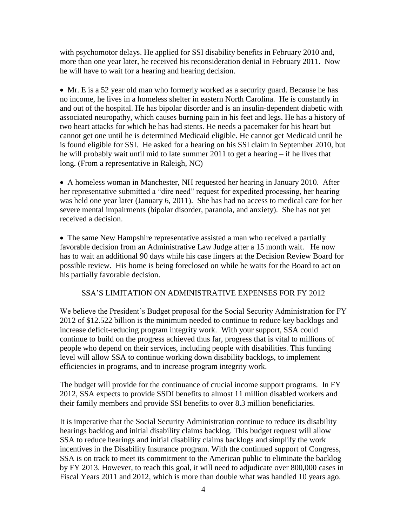with psychomotor delays. He applied for SSI disability benefits in February 2010 and, more than one year later, he received his reconsideration denial in February 2011. Now he will have to wait for a hearing and hearing decision.

 Mr. E is a 52 year old man who formerly worked as a security guard. Because he has no income, he lives in a homeless shelter in eastern North Carolina. He is constantly in and out of the hospital. He has bipolar disorder and is an insulin-dependent diabetic with associated neuropathy, which causes burning pain in his feet and legs. He has a history of two heart attacks for which he has had stents. He needs a pacemaker for his heart but cannot get one until he is determined Medicaid eligible. He cannot get Medicaid until he is found eligible for SSI. He asked for a hearing on his SSI claim in September 2010, but he will probably wait until mid to late summer 2011 to get a hearing – if he lives that long. (From a representative in Raleigh, NC)

 A homeless woman in Manchester, NH requested her hearing in January 2010. After her representative submitted a "dire need" request for expedited processing, her hearing was held one year later (January 6, 2011). She has had no access to medical care for her severe mental impairments (bipolar disorder, paranoia, and anxiety). She has not yet received a decision.

 The same New Hampshire representative assisted a man who received a partially favorable decision from an Administrative Law Judge after a 15 month wait. He now has to wait an additional 90 days while his case lingers at the Decision Review Board for possible review. His home is being foreclosed on while he waits for the Board to act on his partially favorable decision.

## SSA'S LIMITATION ON ADMINISTRATIVE EXPENSES FOR FY 2012

We believe the President's Budget proposal for the Social Security Administration for FY 2012 of \$12.522 billion is the minimum needed to continue to reduce key backlogs and increase deficit-reducing program integrity work. With your support, SSA could continue to build on the progress achieved thus far, progress that is vital to millions of people who depend on their services, including people with disabilities. This funding level will allow SSA to continue working down disability backlogs, to implement efficiencies in programs, and to increase program integrity work.

The budget will provide for the continuance of crucial income support programs. In FY 2012, SSA expects to provide SSDI benefits to almost 11 million disabled workers and their family members and provide SSI benefits to over 8.3 million beneficiaries.

It is imperative that the Social Security Administration continue to reduce its disability hearings backlog and initial disability claims backlog. This budget request will allow SSA to reduce hearings and initial disability claims backlogs and simplify the work incentives in the Disability Insurance program. With the continued support of Congress, SSA is on track to meet its commitment to the American public to eliminate the backlog by FY 2013. However, to reach this goal, it will need to adjudicate over 800,000 cases in Fiscal Years 2011 and 2012, which is more than double what was handled 10 years ago.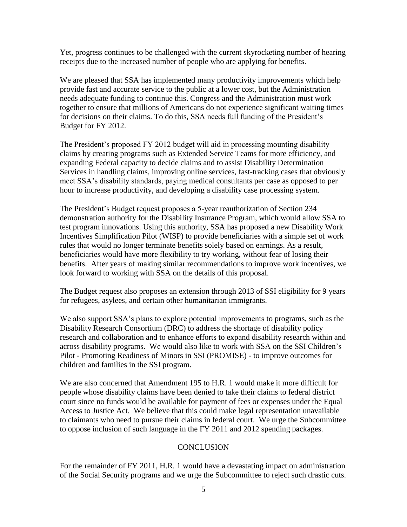Yet, progress continues to be challenged with the current skyrocketing number of hearing receipts due to the increased number of people who are applying for benefits.

We are pleased that SSA has implemented many productivity improvements which help provide fast and accurate service to the public at a lower cost, but the Administration needs adequate funding to continue this. Congress and the Administration must work together to ensure that millions of Americans do not experience significant waiting times for decisions on their claims. To do this, SSA needs full funding of the President's Budget for FY 2012.

The President's proposed FY 2012 budget will aid in processing mounting disability claims by creating programs such as Extended Service Teams for more efficiency, and expanding Federal capacity to decide claims and to assist Disability Determination Services in handling claims, improving online services, fast-tracking cases that obviously meet SSA's disability standards, paying medical consultants per case as opposed to per hour to increase productivity, and developing a disability case processing system.

The President's Budget request proposes a 5-year reauthorization of Section 234 demonstration authority for the Disability Insurance Program, which would allow SSA to test program innovations. Using this authority, SSA has proposed a new Disability Work Incentives Simplification Pilot (WISP) to provide beneficiaries with a simple set of work rules that would no longer terminate benefits solely based on earnings. As a result, beneficiaries would have more flexibility to try working, without fear of losing their benefits. After years of making similar recommendations to improve work incentives, we look forward to working with SSA on the details of this proposal.

The Budget request also proposes an extension through 2013 of SSI eligibility for 9 years for refugees, asylees, and certain other humanitarian immigrants.

We also support SSA's plans to explore potential improvements to programs, such as the Disability Research Consortium (DRC) to address the shortage of disability policy research and collaboration and to enhance efforts to expand disability research within and across disability programs. We would also like to work with SSA on the SSI Children's Pilot - Promoting Readiness of Minors in SSI (PROMISE) - to improve outcomes for children and families in the SSI program.

We are also concerned that Amendment 195 to H.R. 1 would make it more difficult for people whose disability claims have been denied to take their claims to federal district court since no funds would be available for payment of fees or expenses under the Equal Access to Justice Act. We believe that this could make legal representation unavailable to claimants who need to pursue their claims in federal court. We urge the Subcommittee to oppose inclusion of such language in the FY 2011 and 2012 spending packages.

## **CONCLUSION**

For the remainder of FY 2011, H.R. 1 would have a devastating impact on administration of the Social Security programs and we urge the Subcommittee to reject such drastic cuts.